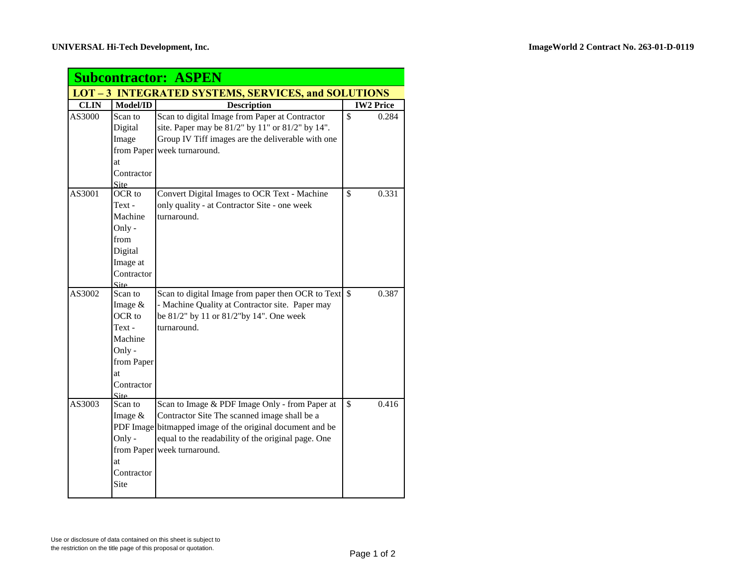| <b>Subcontractor: ASPEN</b>                                |                 |                                                           |                                  |  |  |  |  |
|------------------------------------------------------------|-----------------|-----------------------------------------------------------|----------------------------------|--|--|--|--|
| <b>LOT - 3 INTEGRATED SYSTEMS, SERVICES, and SOLUTIONS</b> |                 |                                                           |                                  |  |  |  |  |
| <b>CLIN</b>                                                | Model/ID        | <b>Description</b>                                        | <b>IW2 Price</b>                 |  |  |  |  |
| AS3000                                                     | Scan to         | Scan to digital Image from Paper at Contractor            | $\overline{\mathbb{S}}$<br>0.284 |  |  |  |  |
|                                                            | Digital         | site. Paper may be 81/2" by 11" or 81/2" by 14".          |                                  |  |  |  |  |
|                                                            | Image           | Group IV Tiff images are the deliverable with one         |                                  |  |  |  |  |
|                                                            |                 | from Paper week turnaround.                               |                                  |  |  |  |  |
|                                                            | at              |                                                           |                                  |  |  |  |  |
|                                                            | Contractor      |                                                           |                                  |  |  |  |  |
|                                                            | Site_           |                                                           |                                  |  |  |  |  |
| AS3001                                                     | OCR to          | Convert Digital Images to OCR Text - Machine              | \$<br>0.331                      |  |  |  |  |
|                                                            | Text -          | only quality - at Contractor Site - one week              |                                  |  |  |  |  |
|                                                            | Machine         | turnaround.                                               |                                  |  |  |  |  |
|                                                            | Only -          |                                                           |                                  |  |  |  |  |
|                                                            | from            |                                                           |                                  |  |  |  |  |
|                                                            | Digital         |                                                           |                                  |  |  |  |  |
|                                                            | Image at        |                                                           |                                  |  |  |  |  |
|                                                            | Contractor      |                                                           |                                  |  |  |  |  |
|                                                            | Site_           |                                                           |                                  |  |  |  |  |
| AS3002                                                     | Scan to         | Scan to digital Image from paper then OCR to Text \$      | 0.387                            |  |  |  |  |
|                                                            | Image &         | - Machine Quality at Contractor site. Paper may           |                                  |  |  |  |  |
|                                                            | OCR to          | be 81/2" by 11 or 81/2"by 14". One week                   |                                  |  |  |  |  |
|                                                            | $Text -$        | turnaround.                                               |                                  |  |  |  |  |
|                                                            | Machine         |                                                           |                                  |  |  |  |  |
|                                                            | Only -          |                                                           |                                  |  |  |  |  |
|                                                            | from Paper      |                                                           |                                  |  |  |  |  |
|                                                            | at              |                                                           |                                  |  |  |  |  |
|                                                            | Contractor      |                                                           |                                  |  |  |  |  |
| AS3003                                                     | Site<br>Scan to | Scan to Image & PDF Image Only - from Paper at            | $\mathbf{\hat{S}}$<br>0.416      |  |  |  |  |
|                                                            | Image $&$       | Contractor Site The scanned image shall be a              |                                  |  |  |  |  |
|                                                            |                 | PDF Image bitmapped image of the original document and be |                                  |  |  |  |  |
|                                                            | Only -          | equal to the readability of the original page. One        |                                  |  |  |  |  |
|                                                            |                 | from Paper week turnaround.                               |                                  |  |  |  |  |
|                                                            | at              |                                                           |                                  |  |  |  |  |
|                                                            | Contractor      |                                                           |                                  |  |  |  |  |
|                                                            | Site            |                                                           |                                  |  |  |  |  |
|                                                            |                 |                                                           |                                  |  |  |  |  |